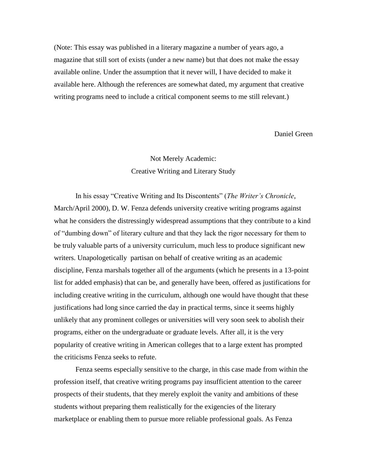(Note: This essay was published in a literary magazine a number of years ago, a magazine that still sort of exists (under a new name) but that does not make the essay available online. Under the assumption that it never will, I have decided to make it available here. Although the references are somewhat dated, my argument that creative writing programs need to include a critical component seems to me still relevant.)

Daniel Green

## Not Merely Academic: Creative Writing and Literary Study

In his essay "Creative Writing and Its Discontents" (*The Writer's Chronicle*, March/April 2000), D. W. Fenza defends university creative writing programs against what he considers the distressingly widespread assumptions that they contribute to a kind of "dumbing down" of literary culture and that they lack the rigor necessary for them to be truly valuable parts of a university curriculum, much less to produce significant new writers. Unapologetically partisan on behalf of creative writing as an academic discipline, Fenza marshals together all of the arguments (which he presents in a 13-point list for added emphasis) that can be, and generally have been, offered as justifications for including creative writing in the curriculum, although one would have thought that these justifications had long since carried the day in practical terms, since it seems highly unlikely that any prominent colleges or universities will very soon seek to abolish their programs, either on the undergraduate or graduate levels. After all, it is the very popularity of creative writing in American colleges that to a large extent has prompted the criticisms Fenza seeks to refute.

Fenza seems especially sensitive to the charge, in this case made from within the profession itself, that creative writing programs pay insufficient attention to the career prospects of their students, that they merely exploit the vanity and ambitions of these students without preparing them realistically for the exigencies of the literary marketplace or enabling them to pursue more reliable professional goals. As Fenza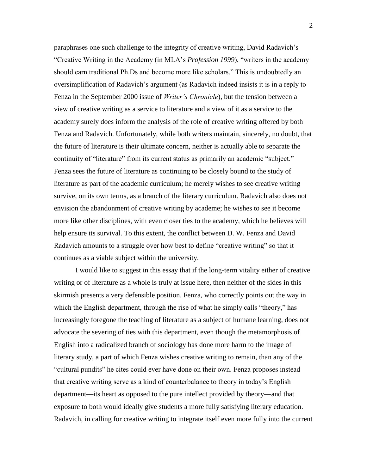paraphrases one such challenge to the integrity of creative writing, David Radavich's "Creative Writing in the Academy (in MLA's *Profession 1999*), "writers in the academy should earn traditional Ph.Ds and become more like scholars." This is undoubtedly an oversimplification of Radavich's argument (as Radavich indeed insists it is in a reply to Fenza in the September 2000 issue of *Writer's Chronicle*), but the tension between a view of creative writing as a service to literature and a view of it as a service to the academy surely does inform the analysis of the role of creative writing offered by both Fenza and Radavich. Unfortunately, while both writers maintain, sincerely, no doubt, that the future of literature is their ultimate concern, neither is actually able to separate the continuity of "literature" from its current status as primarily an academic "subject." Fenza sees the future of literature as continuing to be closely bound to the study of literature as part of the academic curriculum; he merely wishes to see creative writing survive, on its own terms, as a branch of the literary curriculum. Radavich also does not envision the abandonment of creative writing by academe; he wishes to see it become more like other disciplines, with even closer ties to the academy, which he believes will help ensure its survival. To this extent, the conflict between D. W. Fenza and David Radavich amounts to a struggle over how best to define "creative writing" so that it continues as a viable subject within the university.

I would like to suggest in this essay that if the long-term vitality either of creative writing or of literature as a whole is truly at issue here, then neither of the sides in this skirmish presents a very defensible position. Fenza, who correctly points out the way in which the English department, through the rise of what he simply calls "theory," has increasingly foregone the teaching of literature as a subject of humane learning, does not advocate the severing of ties with this department, even though the metamorphosis of English into a radicalized branch of sociology has done more harm to the image of literary study, a part of which Fenza wishes creative writing to remain, than any of the "cultural pundits" he cites could ever have done on their own. Fenza proposes instead that creative writing serve as a kind of counterbalance to theory in today's English department—its heart as opposed to the pure intellect provided by theory—and that exposure to both would ideally give students a more fully satisfying literary education. Radavich, in calling for creative writing to integrate itself even more fully into the current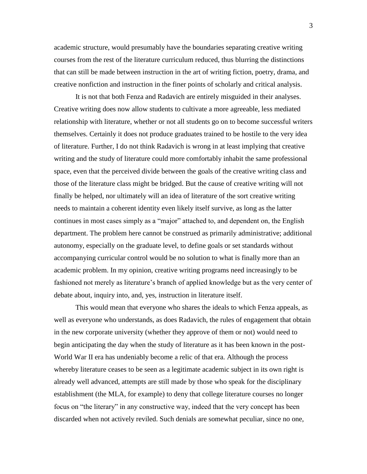academic structure, would presumably have the boundaries separating creative writing courses from the rest of the literature curriculum reduced, thus blurring the distinctions that can still be made between instruction in the art of writing fiction, poetry, drama, and creative nonfiction and instruction in the finer points of scholarly and critical analysis.

It is not that both Fenza and Radavich are entirely misguided in their analyses. Creative writing does now allow students to cultivate a more agreeable, less mediated relationship with literature, whether or not all students go on to become successful writers themselves. Certainly it does not produce graduates trained to be hostile to the very idea of literature. Further, I do not think Radavich is wrong in at least implying that creative writing and the study of literature could more comfortably inhabit the same professional space, even that the perceived divide between the goals of the creative writing class and those of the literature class might be bridged. But the cause of creative writing will not finally be helped, nor ultimately will an idea of literature of the sort creative writing needs to maintain a coherent identity even likely itself survive, as long as the latter continues in most cases simply as a "major" attached to, and dependent on, the English department. The problem here cannot be construed as primarily administrative; additional autonomy, especially on the graduate level, to define goals or set standards without accompanying curricular control would be no solution to what is finally more than an academic problem. In my opinion, creative writing programs need increasingly to be fashioned not merely as literature's branch of applied knowledge but as the very center of debate about, inquiry into, and, yes, instruction in literature itself.

This would mean that everyone who shares the ideals to which Fenza appeals, as well as everyone who understands, as does Radavich, the rules of engagement that obtain in the new corporate university (whether they approve of them or not) would need to begin anticipating the day when the study of literature as it has been known in the post-World War II era has undeniably become a relic of that era. Although the process whereby literature ceases to be seen as a legitimate academic subject in its own right is already well advanced, attempts are still made by those who speak for the disciplinary establishment (the MLA, for example) to deny that college literature courses no longer focus on "the literary" in any constructive way, indeed that the very concept has been discarded when not actively reviled. Such denials are somewhat peculiar, since no one,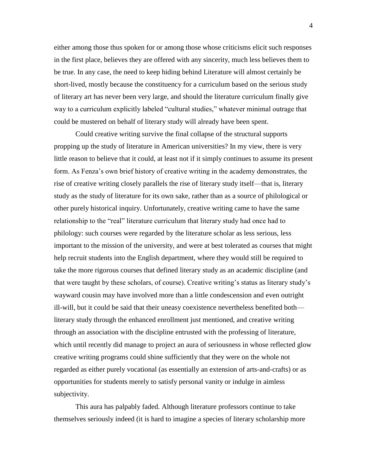either among those thus spoken for or among those whose criticisms elicit such responses in the first place, believes they are offered with any sincerity, much less believes them to be true. In any case, the need to keep hiding behind Literature will almost certainly be short-lived, mostly because the constituency for a curriculum based on the serious study of literary art has never been very large, and should the literature curriculum finally give way to a curriculum explicitly labeled "cultural studies," whatever minimal outrage that could be mustered on behalf of literary study will already have been spent.

Could creative writing survive the final collapse of the structural supports propping up the study of literature in American universities? In my view, there is very little reason to believe that it could, at least not if it simply continues to assume its present form. As Fenza's own brief history of creative writing in the academy demonstrates, the rise of creative writing closely parallels the rise of literary study itself—that is, literary study as the study of literature for its own sake, rather than as a source of philological or other purely historical inquiry. Unfortunately, creative writing came to have the same relationship to the "real" literature curriculum that literary study had once had to philology: such courses were regarded by the literature scholar as less serious, less important to the mission of the university, and were at best tolerated as courses that might help recruit students into the English department, where they would still be required to take the more rigorous courses that defined literary study as an academic discipline (and that were taught by these scholars, of course). Creative writing's status as literary study's wayward cousin may have involved more than a little condescension and even outright ill-will, but it could be said that their uneasy coexistence nevertheless benefited both literary study through the enhanced enrollment just mentioned, and creative writing through an association with the discipline entrusted with the professing of literature, which until recently did manage to project an aura of seriousness in whose reflected glow creative writing programs could shine sufficiently that they were on the whole not regarded as either purely vocational (as essentially an extension of arts-and-crafts) or as opportunities for students merely to satisfy personal vanity or indulge in aimless subjectivity.

This aura has palpably faded. Although literature professors continue to take themselves seriously indeed (it is hard to imagine a species of literary scholarship more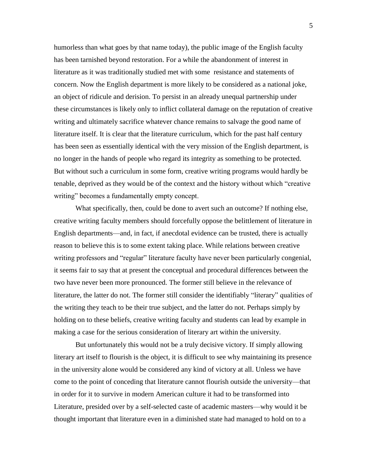humorless than what goes by that name today), the public image of the English faculty has been tarnished beyond restoration. For a while the abandonment of interest in literature as it was traditionally studied met with some resistance and statements of concern. Now the English department is more likely to be considered as a national joke, an object of ridicule and derision. To persist in an already unequal partnership under these circumstances is likely only to inflict collateral damage on the reputation of creative writing and ultimately sacrifice whatever chance remains to salvage the good name of literature itself. It is clear that the literature curriculum, which for the past half century has been seen as essentially identical with the very mission of the English department, is no longer in the hands of people who regard its integrity as something to be protected. But without such a curriculum in some form, creative writing programs would hardly be tenable, deprived as they would be of the context and the history without which "creative writing" becomes a fundamentally empty concept.

What specifically, then, could be done to avert such an outcome? If nothing else, creative writing faculty members should forcefully oppose the belittlement of literature in English departments—and, in fact, if anecdotal evidence can be trusted, there is actually reason to believe this is to some extent taking place. While relations between creative writing professors and "regular" literature faculty have never been particularly congenial, it seems fair to say that at present the conceptual and procedural differences between the two have never been more pronounced. The former still believe in the relevance of literature, the latter do not. The former still consider the identifiably "literary" qualities of the writing they teach to be their true subject, and the latter do not. Perhaps simply by holding on to these beliefs, creative writing faculty and students can lead by example in making a case for the serious consideration of literary art within the university.

But unfortunately this would not be a truly decisive victory. If simply allowing literary art itself to flourish is the object, it is difficult to see why maintaining its presence in the university alone would be considered any kind of victory at all. Unless we have come to the point of conceding that literature cannot flourish outside the university—that in order for it to survive in modern American culture it had to be transformed into Literature, presided over by a self-selected caste of academic masters—why would it be thought important that literature even in a diminished state had managed to hold on to a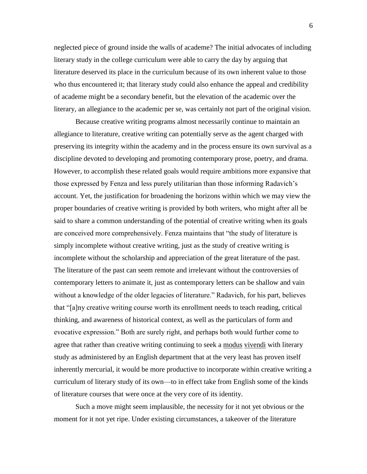neglected piece of ground inside the walls of academe? The initial advocates of including literary study in the college curriculum were able to carry the day by arguing that literature deserved its place in the curriculum because of its own inherent value to those who thus encountered it; that literary study could also enhance the appeal and credibility of academe might be a secondary benefit, but the elevation of the academic over the literary, an allegiance to the academic per se, was certainly not part of the original vision.

Because creative writing programs almost necessarily continue to maintain an allegiance to literature, creative writing can potentially serve as the agent charged with preserving its integrity within the academy and in the process ensure its own survival as a discipline devoted to developing and promoting contemporary prose, poetry, and drama. However, to accomplish these related goals would require ambitions more expansive that those expressed by Fenza and less purely utilitarian than those informing Radavich's account. Yet, the justification for broadening the horizons within which we may view the proper boundaries of creative writing is provided by both writers, who might after all be said to share a common understanding of the potential of creative writing when its goals are conceived more comprehensively. Fenza maintains that "the study of literature is simply incomplete without creative writing, just as the study of creative writing is incomplete without the scholarship and appreciation of the great literature of the past. The literature of the past can seem remote and irrelevant without the controversies of contemporary letters to animate it, just as contemporary letters can be shallow and vain without a knowledge of the older legacies of literature." Radavich, for his part, believes that "[a]ny creative writing course worth its enrollment needs to teach reading, critical thinking, and awareness of historical context, as well as the particulars of form and evocative expression." Both are surely right, and perhaps both would further come to agree that rather than creative writing continuing to seek a modus vivendi with literary study as administered by an English department that at the very least has proven itself inherently mercurial, it would be more productive to incorporate within creative writing a curriculum of literary study of its own—to in effect take from English some of the kinds of literature courses that were once at the very core of its identity.

Such a move might seem implausible, the necessity for it not yet obvious or the moment for it not yet ripe. Under existing circumstances, a takeover of the literature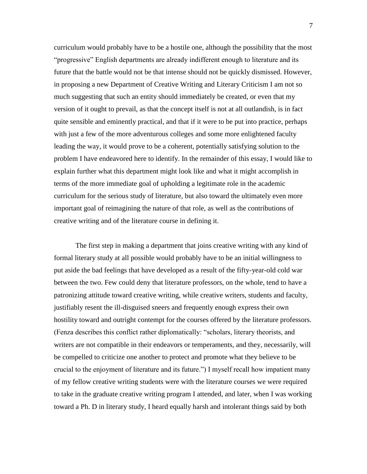curriculum would probably have to be a hostile one, although the possibility that the most "progressive" English departments are already indifferent enough to literature and its future that the battle would not be that intense should not be quickly dismissed. However, in proposing a new Department of Creative Writing and Literary Criticism I am not so much suggesting that such an entity should immediately be created, or even that my version of it ought to prevail, as that the concept itself is not at all outlandish, is in fact quite sensible and eminently practical, and that if it were to be put into practice, perhaps with just a few of the more adventurous colleges and some more enlightened faculty leading the way, it would prove to be a coherent, potentially satisfying solution to the problem I have endeavored here to identify. In the remainder of this essay, I would like to explain further what this department might look like and what it might accomplish in terms of the more immediate goal of upholding a legitimate role in the academic curriculum for the serious study of literature, but also toward the ultimately even more important goal of reimagining the nature of that role, as well as the contributions of creative writing and of the literature course in defining it.

The first step in making a department that joins creative writing with any kind of formal literary study at all possible would probably have to be an initial willingness to put aside the bad feelings that have developed as a result of the fifty-year-old cold war between the two. Few could deny that literature professors, on the whole, tend to have a patronizing attitude toward creative writing, while creative writers, students and faculty, justifiably resent the ill-disguised sneers and frequently enough express their own hostility toward and outright contempt for the courses offered by the literature professors. (Fenza describes this conflict rather diplomatically: "scholars, literary theorists, and writers are not compatible in their endeavors or temperaments, and they, necessarily, will be compelled to criticize one another to protect and promote what they believe to be crucial to the enjoyment of literature and its future.") I myself recall how impatient many of my fellow creative writing students were with the literature courses we were required to take in the graduate creative writing program I attended, and later, when I was working toward a Ph. D in literary study, I heard equally harsh and intolerant things said by both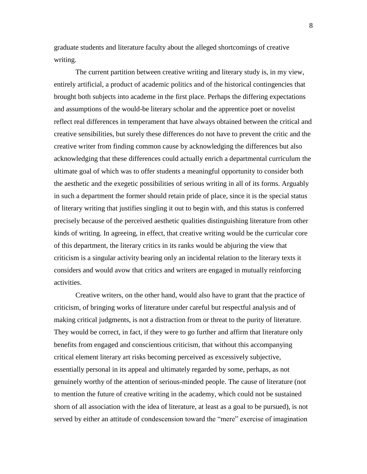graduate students and literature faculty about the alleged shortcomings of creative writing.

The current partition between creative writing and literary study is, in my view, entirely artificial, a product of academic politics and of the historical contingencies that brought both subjects into academe in the first place. Perhaps the differing expectations and assumptions of the would-be literary scholar and the apprentice poet or novelist reflect real differences in temperament that have always obtained between the critical and creative sensibilities, but surely these differences do not have to prevent the critic and the creative writer from finding common cause by acknowledging the differences but also acknowledging that these differences could actually enrich a departmental curriculum the ultimate goal of which was to offer students a meaningful opportunity to consider both the aesthetic and the exegetic possibilities of serious writing in all of its forms. Arguably in such a department the former should retain pride of place, since it is the special status of literary writing that justifies singling it out to begin with, and this status is conferred precisely because of the perceived aesthetic qualities distinguishing literature from other kinds of writing. In agreeing, in effect, that creative writing would be the curricular core of this department, the literary critics in its ranks would be abjuring the view that criticism is a singular activity bearing only an incidental relation to the literary texts it considers and would avow that critics and writers are engaged in mutually reinforcing activities.

Creative writers, on the other hand, would also have to grant that the practice of criticism, of bringing works of literature under careful but respectful analysis and of making critical judgments, is not a distraction from or threat to the purity of literature. They would be correct, in fact, if they were to go further and affirm that literature only benefits from engaged and conscientious criticism, that without this accompanying critical element literary art risks becoming perceived as excessively subjective, essentially personal in its appeal and ultimately regarded by some, perhaps, as not genuinely worthy of the attention of serious-minded people. The cause of literature (not to mention the future of creative writing in the academy, which could not be sustained shorn of all association with the idea of literature, at least as a goal to be pursued), is not served by either an attitude of condescension toward the "mere" exercise of imagination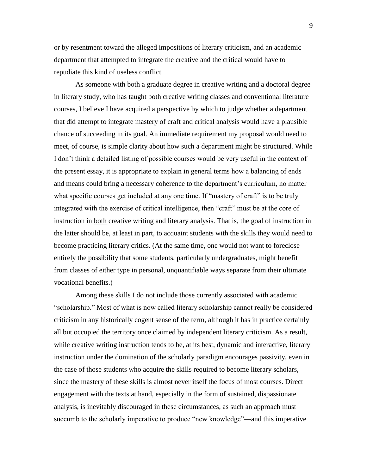or by resentment toward the alleged impositions of literary criticism, and an academic department that attempted to integrate the creative and the critical would have to repudiate this kind of useless conflict.

As someone with both a graduate degree in creative writing and a doctoral degree in literary study, who has taught both creative writing classes and conventional literature courses, I believe I have acquired a perspective by which to judge whether a department that did attempt to integrate mastery of craft and critical analysis would have a plausible chance of succeeding in its goal. An immediate requirement my proposal would need to meet, of course, is simple clarity about how such a department might be structured. While I don't think a detailed listing of possible courses would be very useful in the context of the present essay, it is appropriate to explain in general terms how a balancing of ends and means could bring a necessary coherence to the department's curriculum, no matter what specific courses get included at any one time. If "mastery of craft" is to be truly integrated with the exercise of critical intelligence, then "craft" must be at the core of instruction in both creative writing and literary analysis. That is, the goal of instruction in the latter should be, at least in part, to acquaint students with the skills they would need to become practicing literary critics. (At the same time, one would not want to foreclose entirely the possibility that some students, particularly undergraduates, might benefit from classes of either type in personal, unquantifiable ways separate from their ultimate vocational benefits.)

Among these skills I do not include those currently associated with academic "scholarship." Most of what is now called literary scholarship cannot really be considered criticism in any historically cogent sense of the term, although it has in practice certainly all but occupied the territory once claimed by independent literary criticism. As a result, while creative writing instruction tends to be, at its best, dynamic and interactive, literary instruction under the domination of the scholarly paradigm encourages passivity, even in the case of those students who acquire the skills required to become literary scholars, since the mastery of these skills is almost never itself the focus of most courses. Direct engagement with the texts at hand, especially in the form of sustained, dispassionate analysis, is inevitably discouraged in these circumstances, as such an approach must succumb to the scholarly imperative to produce "new knowledge"—and this imperative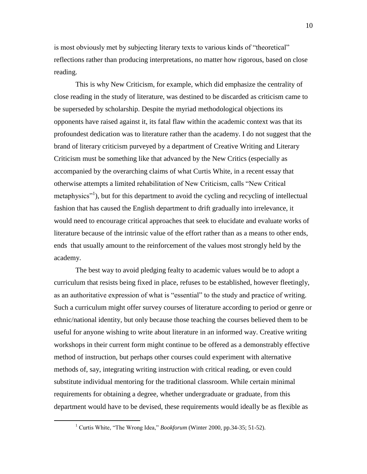is most obviously met by subjecting literary texts to various kinds of "theoretical" reflections rather than producing interpretations, no matter how rigorous, based on close reading.

This is why New Criticism, for example, which did emphasize the centrality of close reading in the study of literature, was destined to be discarded as criticism came to be superseded by scholarship. Despite the myriad methodological objections its opponents have raised against it, its fatal flaw within the academic context was that its profoundest dedication was to literature rather than the academy. I do not suggest that the brand of literary criticism purveyed by a department of Creative Writing and Literary Criticism must be something like that advanced by the New Critics (especially as accompanied by the overarching claims of what Curtis White, in a recent essay that otherwise attempts a limited rehabilitation of New Criticism, calls "New Critical metaphysics<sup>"1</sup>), but for this department to avoid the cycling and recycling of intellectual fashion that has caused the English department to drift gradually into irrelevance, it would need to encourage critical approaches that seek to elucidate and evaluate works of literature because of the intrinsic value of the effort rather than as a means to other ends, ends that usually amount to the reinforcement of the values most strongly held by the academy.

The best way to avoid pledging fealty to academic values would be to adopt a curriculum that resists being fixed in place, refuses to be established, however fleetingly, as an authoritative expression of what is "essential" to the study and practice of writing. Such a curriculum might offer survey courses of literature according to period or genre or ethnic/national identity, but only because those teaching the courses believed them to be useful for anyone wishing to write about literature in an informed way. Creative writing workshops in their current form might continue to be offered as a demonstrably effective method of instruction, but perhaps other courses could experiment with alternative methods of, say, integrating writing instruction with critical reading, or even could substitute individual mentoring for the traditional classroom. While certain minimal requirements for obtaining a degree, whether undergraduate or graduate, from this department would have to be devised, these requirements would ideally be as flexible as

 $\overline{a}$ 

<sup>&</sup>lt;sup>1</sup> Curtis White, "The Wrong Idea," *Bookforum* (Winter 2000, pp.34-35; 51-52).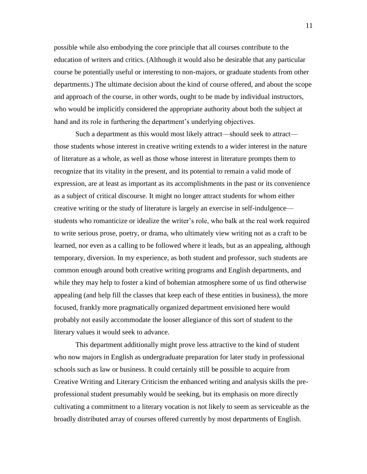possible while also embodying the core principle that all courses contribute to the education of writers and critics. (Although it would also be desirable that any particular course be potentially useful or interesting to non-majors, or graduate students from other departments.) The ultimate decision about the kind of course offered, and about the scope and approach of the course, in other words, ought to be made by individual instructors, who would be implicitly considered the appropriate authority about both the subject at hand and its role in furthering the department's underlying objectives.

Such a department as this would most likely attract—should seek to attract those students whose interest in creative writing extends to a wider interest in the nature of literature as a whole, as well as those whose interest in literature prompts them to recognize that its vitality in the present, and its potential to remain a valid mode of expression, are at least as important as its accomplishments in the past or its convenience as a subject of critical discourse. It might no longer attract students for whom either creative writing or the study of literature is largely an exercise in self-indulgence students who romanticize or idealize the writer's role, who balk at the real work required to write serious prose, poetry, or drama, who ultimately view writing not as a craft to be learned, nor even as a calling to be followed where it leads, but as an appealing, although temporary, diversion. In my experience, as both student and professor, such students are common enough around both creative writing programs and English departments, and while they may help to foster a kind of bohemian atmosphere some of us find otherwise appealing (and help fill the classes that keep each of these entities in business), the more focused, frankly more pragmatically organized department envisioned here would probably not easily accommodate the looser allegiance of this sort of student to the literary values it would seek to advance.

This department additionally might prove less attractive to the kind of student who now majors in English as undergraduate preparation for later study in professional schools such as law or business. It could certainly still be possible to acquire from Creative Writing and Literary Criticism the enhanced writing and analysis skills the preprofessional student presumably would be seeking, but its emphasis on more directly cultivating a commitment to a literary vocation is not likely to seem as serviceable as the broadly distributed array of courses offered currently by most departments of English.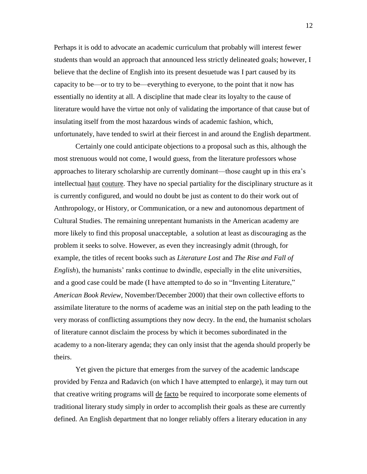Perhaps it is odd to advocate an academic curriculum that probably will interest fewer students than would an approach that announced less strictly delineated goals; however, I believe that the decline of English into its present desuetude was I part caused by its capacity to be—or to try to be—everything to everyone, to the point that it now has essentially no identity at all. A discipline that made clear its loyalty to the cause of literature would have the virtue not only of validating the importance of that cause but of insulating itself from the most hazardous winds of academic fashion, which, unfortunately, have tended to swirl at their fiercest in and around the English department.

Certainly one could anticipate objections to a proposal such as this, although the most strenuous would not come, I would guess, from the literature professors whose approaches to literary scholarship are currently dominant—those caught up in this era's intellectual haut couture. They have no special partiality for the disciplinary structure as it is currently configured, and would no doubt be just as content to do their work out of Anthropology, or History, or Communication, or a new and autonomous department of Cultural Studies. The remaining unrepentant humanists in the American academy are more likely to find this proposal unacceptable, a solution at least as discouraging as the problem it seeks to solve. However, as even they increasingly admit (through, for example, the titles of recent books such as *Literature Lost* and *The Rise and Fall of English*), the humanists' ranks continue to dwindle, especially in the elite universities, and a good case could be made (I have attempted to do so in "Inventing Literature," *American Book Review*, November/December 2000) that their own collective efforts to assimilate literature to the norms of academe was an initial step on the path leading to the very morass of conflicting assumptions they now decry. In the end, the humanist scholars of literature cannot disclaim the process by which it becomes subordinated in the academy to a non-literary agenda; they can only insist that the agenda should properly be theirs.

Yet given the picture that emerges from the survey of the academic landscape provided by Fenza and Radavich (on which I have attempted to enlarge), it may turn out that creative writing programs will de facto be required to incorporate some elements of traditional literary study simply in order to accomplish their goals as these are currently defined. An English department that no longer reliably offers a literary education in any

12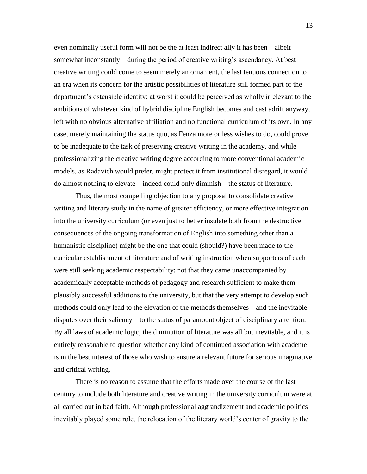even nominally useful form will not be the at least indirect ally it has been—albeit somewhat inconstantly—during the period of creative writing's ascendancy. At best creative writing could come to seem merely an ornament, the last tenuous connection to an era when its concern for the artistic possibilities of literature still formed part of the department's ostensible identity; at worst it could be perceived as wholly irrelevant to the ambitions of whatever kind of hybrid discipline English becomes and cast adrift anyway, left with no obvious alternative affiliation and no functional curriculum of its own. In any case, merely maintaining the status quo, as Fenza more or less wishes to do, could prove to be inadequate to the task of preserving creative writing in the academy, and while professionalizing the creative writing degree according to more conventional academic models, as Radavich would prefer, might protect it from institutional disregard, it would do almost nothing to elevate—indeed could only diminish—the status of literature.

Thus, the most compelling objection to any proposal to consolidate creative writing and literary study in the name of greater efficiency, or more effective integration into the university curriculum (or even just to better insulate both from the destructive consequences of the ongoing transformation of English into something other than a humanistic discipline) might be the one that could (should?) have been made to the curricular establishment of literature and of writing instruction when supporters of each were still seeking academic respectability: not that they came unaccompanied by academically acceptable methods of pedagogy and research sufficient to make them plausibly successful additions to the university, but that the very attempt to develop such methods could only lead to the elevation of the methods themselves—and the inevitable disputes over their saliency—to the status of paramount object of disciplinary attention. By all laws of academic logic, the diminution of literature was all but inevitable, and it is entirely reasonable to question whether any kind of continued association with academe is in the best interest of those who wish to ensure a relevant future for serious imaginative and critical writing.

There is no reason to assume that the efforts made over the course of the last century to include both literature and creative writing in the university curriculum were at all carried out in bad faith. Although professional aggrandizement and academic politics inevitably played some role, the relocation of the literary world's center of gravity to the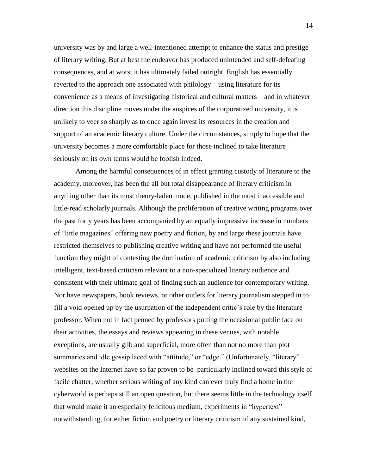university was by and large a well-intentioned attempt to enhance the status and prestige of literary writing. But at best the endeavor has produced unintended and self-defeating consequences, and at worst it has ultimately failed outright. English has essentially reverted to the approach one associated with philology—using literature for its convenience as a means of investigating historical and cultural matters—and in whatever direction this discipline moves under the auspices of the corporatized university, it is unlikely to veer so sharply as to once again invest its resources in the creation and support of an academic literary culture. Under the circumstances, simply to hope that the university becomes a more comfortable place for those inclined to take literature seriously on its own terms would be foolish indeed.

Among the harmful consequences of in effect granting custody of literature to the academy, moreover, has been the all but total disappearance of literary criticism in anything other than its most theory-laden mode, published in the most inaccessible and little-read scholarly journals. Although the proliferation of creative writing programs over the past forty years has been accompanied by an equally impressive increase in numbers of "little magazines" offering new poetry and fiction, by and large these journals have restricted themselves to publishing creative writing and have not performed the useful function they might of contesting the domination of academic criticism by also including intelligent, text-based criticism relevant to a non-specialized literary audience and consistent with their ultimate goal of finding such an audience for contemporary writing. Nor have newspapers, book reviews, or other outlets for literary journalism stepped in to fill a void opened up by the usurpation of the independent critic's role by the literature professor. When not in fact penned by professors putting the occasional public face on their activities, the essays and reviews appearing in these venues, with notable exceptions, are usually glib and superficial, more often than not no more than plot summaries and idle gossip laced with "attitude," or "edge." (Unfortunately, "literary" websites on the Internet have so far proven to be particularly inclined toward this style of facile chatter; whether serious writing of any kind can ever truly find a home in the cyberworld is perhaps still an open question, but there seems little in the technology itself that would make it an especially felicitous medium, experiments in "hypertext" notwithstanding, for either fiction and poetry or literary criticism of any sustained kind,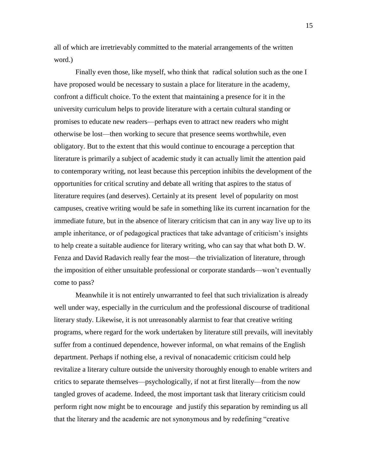all of which are irretrievably committed to the material arrangements of the written word.)

Finally even those, like myself, who think that radical solution such as the one I have proposed would be necessary to sustain a place for literature in the academy, confront a difficult choice. To the extent that maintaining a presence for it in the university curriculum helps to provide literature with a certain cultural standing or promises to educate new readers—perhaps even to attract new readers who might otherwise be lost—then working to secure that presence seems worthwhile, even obligatory. But to the extent that this would continue to encourage a perception that literature is primarily a subject of academic study it can actually limit the attention paid to contemporary writing, not least because this perception inhibits the development of the opportunities for critical scrutiny and debate all writing that aspires to the status of literature requires (and deserves). Certainly at its present level of popularity on most campuses, creative writing would be safe in something like its current incarnation for the immediate future, but in the absence of literary criticism that can in any way live up to its ample inheritance, or of pedagogical practices that take advantage of criticism's insights to help create a suitable audience for literary writing, who can say that what both D. W. Fenza and David Radavich really fear the most—the trivialization of literature, through the imposition of either unsuitable professional or corporate standards—won't eventually come to pass?

Meanwhile it is not entirely unwarranted to feel that such trivialization is already well under way, especially in the curriculum and the professional discourse of traditional literary study. Likewise, it is not unreasonably alarmist to fear that creative writing programs, where regard for the work undertaken by literature still prevails, will inevitably suffer from a continued dependence, however informal, on what remains of the English department. Perhaps if nothing else, a revival of nonacademic criticism could help revitalize a literary culture outside the university thoroughly enough to enable writers and critics to separate themselves—psychologically, if not at first literally—from the now tangled groves of academe. Indeed, the most important task that literary criticism could perform right now might be to encourage and justify this separation by reminding us all that the literary and the academic are not synonymous and by redefining "creative